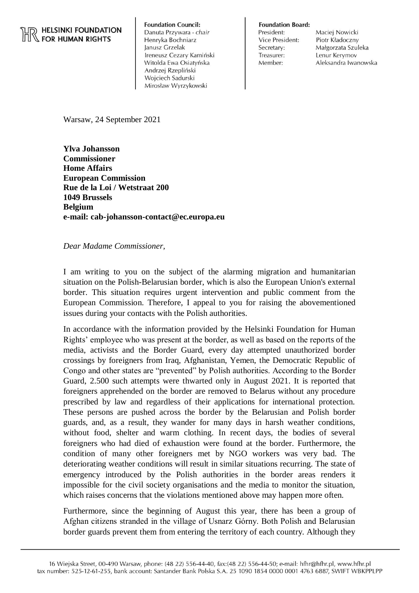## **THELSINKI FOUNDATION FOR HUMAN RIGHTS**

**Foundation Council:** Danuta Przywara - chair Henryka Bochniarz Janusz Grzelak Ireneusz Cezary Kamiński Witolda Ewa Osiatyńska Andrzej Rzepliński Wojciech Sadurski Mirosław Wyrzykowski

**Foundation Board:** 

President: Vice President: Secretary: Treasurer: Member:

Maciej Nowicki Piotr Kładoczny Małgorzata Szuleka Lenur Kerymov Aleksandra Iwanowska

Warsaw, 24 September 2021

**Ylva Johansson Commissioner Home Affairs European Commission Rue de la Loi / Wetstraat 200 1049 Brussels Belgium e-mail: cab-johansson-contact@ec.europa.eu**

*Dear Madame Commissioner,*

I am writing to you on the subject of the alarming migration and humanitarian situation on the Polish-Belarusian border, which is also the European Union's external border. This situation requires urgent intervention and public comment from the European Commission. Therefore, I appeal to you for raising the abovementioned issues during your contacts with the Polish authorities.

In accordance with the information provided by the Helsinki Foundation for Human Rights' employee who was present at the border, as well as based on the reports of the media, activists and the Border Guard, every day attempted unauthorized border crossings by foreigners from Iraq, Afghanistan, Yemen, the Democratic Republic of Congo and other states are "prevented" by Polish authorities. According to the Border Guard, 2.500 such attempts were thwarted only in August 2021. It is reported that foreigners apprehended on the border are removed to Belarus without any procedure prescribed by law and regardless of their applications for international protection. These persons are pushed across the border by the Belarusian and Polish border guards, and, as a result, they wander for many days in harsh weather conditions, without food, shelter and warm clothing. In recent days, the bodies of several foreigners who had died of exhaustion were found at the border. Furthermore, the condition of many other foreigners met by NGO workers was very bad. The deteriorating weather conditions will result in similar situations recurring. The state of emergency introduced by the Polish authorities in the border areas renders it impossible for the civil society organisations and the media to monitor the situation, which raises concerns that the violations mentioned above may happen more often.

Furthermore, since the beginning of August this year, there has been a group of Afghan citizens stranded in the village of Usnarz Górny. Both Polish and Belarusian border guards prevent them from entering the territory of each country. Although they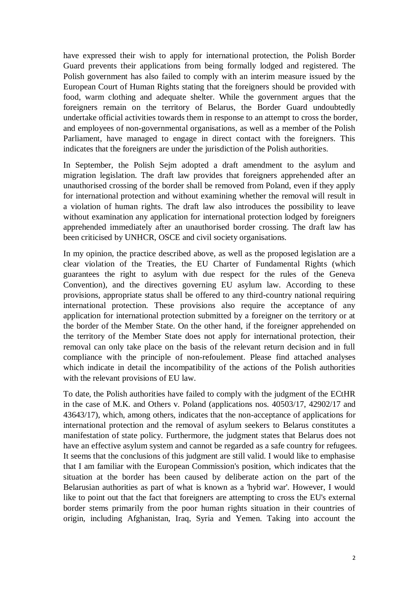have expressed their wish to apply for international protection, the Polish Border Guard prevents their applications from being formally lodged and registered. The Polish government has also failed to comply with an interim measure issued by the European Court of Human Rights stating that the foreigners should be provided with food, warm clothing and adequate shelter. While the government argues that the foreigners remain on the territory of Belarus, the Border Guard undoubtedly undertake official activities towards them in response to an attempt to cross the border, and employees of non-governmental organisations, as well as a member of the Polish Parliament, have managed to engage in direct contact with the foreigners. This indicates that the foreigners are under the jurisdiction of the Polish authorities.

In September, the Polish Sejm adopted a draft amendment to the asylum and migration legislation. The draft law provides that foreigners apprehended after an unauthorised crossing of the border shall be removed from Poland, even if they apply for international protection and without examining whether the removal will result in a violation of human rights. The draft law also introduces the possibility to leave without examination any application for international protection lodged by foreigners apprehended immediately after an unauthorised border crossing. The draft law has been criticised by UNHCR, OSCE and civil society organisations.

In my opinion, the practice described above, as well as the proposed legislation are a clear violation of the Treaties, the EU Charter of Fundamental Rights (which guarantees the right to asylum with due respect for the rules of the Geneva Convention), and the directives governing EU asylum law. According to these provisions, appropriate status shall be offered to any third-country national requiring international protection. These provisions also require the acceptance of any application for international protection submitted by a foreigner on the territory or at the border of the Member State. On the other hand, if the foreigner apprehended on the territory of the Member State does not apply for international protection, their removal can only take place on the basis of the relevant return decision and in full compliance with the principle of non-refoulement. Please find attached analyses which indicate in detail the incompatibility of the actions of the Polish authorities with the relevant provisions of EU law.

To date, the Polish authorities have failed to comply with the judgment of the ECtHR in the case of M.K. and Others v. Poland (applications nos. 40503/17, 42902/17 and 43643/17), which, among others, indicates that the non-acceptance of applications for international protection and the removal of asylum seekers to Belarus constitutes a manifestation of state policy. Furthermore, the judgment states that Belarus does not have an effective asylum system and cannot be regarded as a safe country for refugees. It seems that the conclusions of this judgment are still valid. I would like to emphasise that I am familiar with the European Commission's position, which indicates that the situation at the border has been caused by deliberate action on the part of the Belarusian authorities as part of what is known as a 'hybrid war'. However, I would like to point out that the fact that foreigners are attempting to cross the EU's external border stems primarily from the poor human rights situation in their countries of origin, including Afghanistan, Iraq, Syria and Yemen. Taking into account the